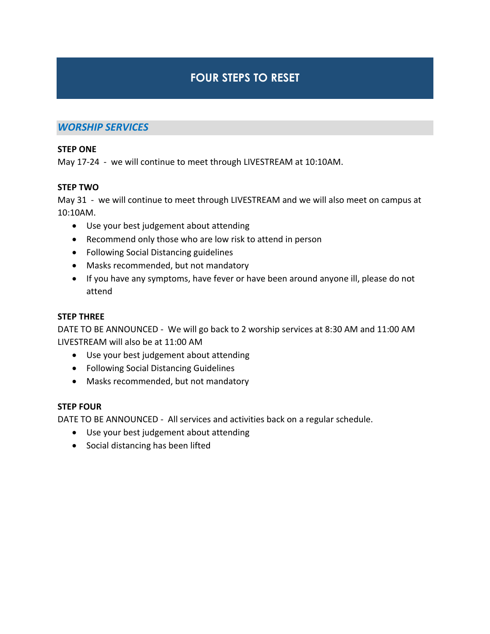# **FOUR STEPS TO RESET**

# *WORSHIP SERVICES*

#### **STEP ONE**

May 17-24 - we will continue to meet through LIVESTREAM at 10:10AM.

#### **STEP TWO**

May 31 - we will continue to meet through LIVESTREAM and we will also meet on campus at 10:10AM.

- Use your best judgement about attending
- Recommend only those who are low risk to attend in person
- Following Social Distancing guidelines
- Masks recommended, but not mandatory
- If you have any symptoms, have fever or have been around anyone ill, please do not attend

#### **STEP THREE**

DATE TO BE ANNOUNCED - We will go back to 2 worship services at 8:30 AM and 11:00 AM LIVESTREAM will also be at 11:00 AM

- Use your best judgement about attending
- Following Social Distancing Guidelines
- Masks recommended, but not mandatory

#### **STEP FOUR**

DATE TO BE ANNOUNCED - All services and activities back on a regular schedule.

- Use your best judgement about attending
- Social distancing has been lifted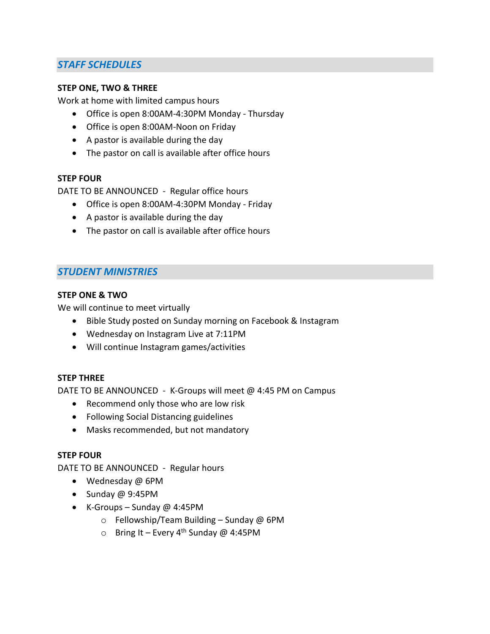# *STAFF SCHEDULES*

#### **STEP ONE, TWO & THREE**

Work at home with limited campus hours

- Office is open 8:00AM-4:30PM Monday Thursday
- Office is open 8:00AM-Noon on Friday
- A pastor is available during the day
- The pastor on call is available after office hours

#### **STEP FOUR**

DATE TO BE ANNOUNCED - Regular office hours

- Office is open 8:00AM-4:30PM Monday Friday
- A pastor is available during the day
- The pastor on call is available after office hours

# *STUDENT MINISTRIES*

## **STEP ONE & TWO**

We will continue to meet virtually

- Bible Study posted on Sunday morning on Facebook & Instagram
- Wednesday on Instagram Live at 7:11PM
- Will continue Instagram games/activities

#### **STEP THREE**

DATE TO BE ANNOUNCED - K-Groups will meet @ 4:45 PM on Campus

- Recommend only those who are low risk
- Following Social Distancing guidelines
- Masks recommended, but not mandatory

#### **STEP FOUR**

DATE TO BE ANNOUNCED - Regular hours

- Wednesday @ 6PM
- $\bullet$  Sunday @ 9:45PM
- $\bullet$  K-Groups Sunday @ 4:45PM
	- $\circ$  Fellowship/Team Building Sunday @ 6PM
	- Bring It Every 4<sup>th</sup> Sunday @ 4:45PM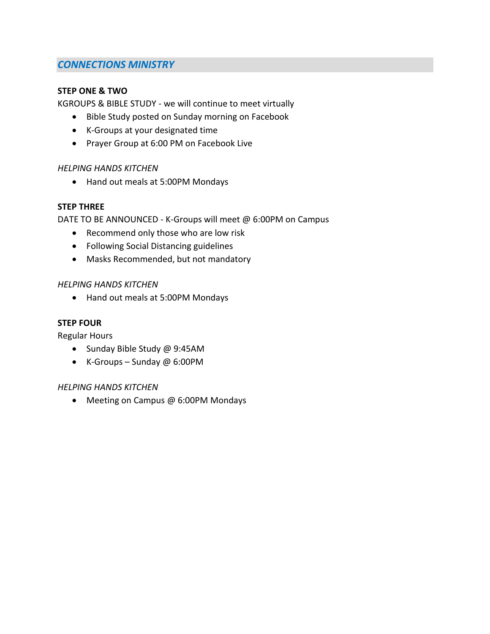# *CONNECTIONS MINISTRY*

## **STEP ONE & TWO**

KGROUPS & BIBLE STUDY - we will continue to meet virtually

- Bible Study posted on Sunday morning on Facebook
- K-Groups at your designated time
- Prayer Group at 6:00 PM on Facebook Live

## *HELPING HANDS KITCHEN*

Hand out meals at 5:00PM Mondays

## **STEP THREE**

DATE TO BE ANNOUNCED - K-Groups will meet @ 6:00PM on Campus

- Recommend only those who are low risk
- Following Social Distancing guidelines
- Masks Recommended, but not mandatory

#### *HELPING HANDS KITCHEN*

Hand out meals at 5:00PM Mondays

#### **STEP FOUR**

Regular Hours

- Sunday Bible Study @ 9:45AM
- K-Groups Sunday @ 6:00PM

#### *HELPING HANDS KITCHEN*

• Meeting on Campus @ 6:00PM Mondays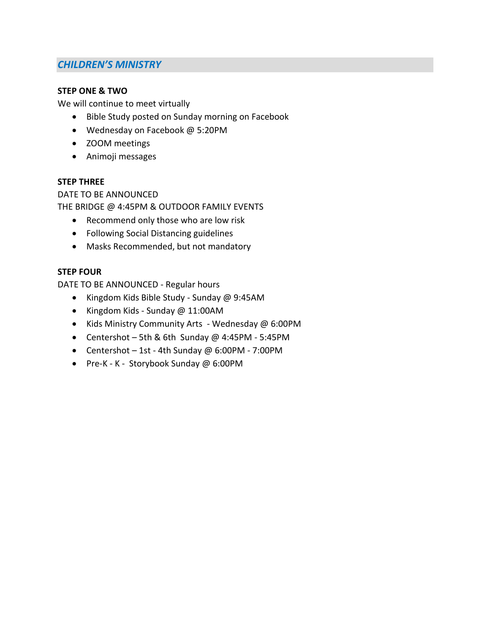# *CHILDREN'S MINISTRY*

## **STEP ONE & TWO**

We will continue to meet virtually

- Bible Study posted on Sunday morning on Facebook
- Wednesday on Facebook @ 5:20PM
- ZOOM meetings
- Animoji messages

## **STEP THREE**

DATE TO BE ANNOUNCED THE BRIDGE @ 4:45PM & OUTDOOR FAMILY EVENTS

- Recommend only those who are low risk
- Following Social Distancing guidelines
- Masks Recommended, but not mandatory

## **STEP FOUR**

DATE TO BE ANNOUNCED - Regular hours

- Kingdom Kids Bible Study Sunday @ 9:45AM
- Kingdom Kids Sunday @ 11:00AM
- Kids Ministry Community Arts Wednesday @ 6:00PM
- Centershot 5th & 6th Sunday  $@$  4:45PM 5:45PM
- Centershot 1st 4th Sunday @ 6:00PM 7:00PM
- Pre-K K Storybook Sunday @ 6:00PM